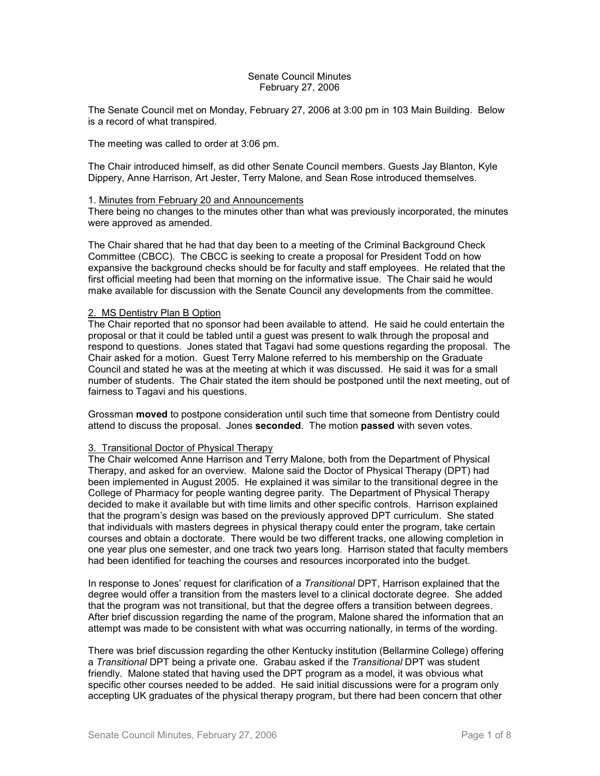## Senate Council Minutes February 27, 2006

The Senate Council met on Monday, February 27, 2006 at 3:00 pm in 103 Main Building. Below is a record of what transpired.

The meeting was called to order at 3:06 pm.

The Chair introduced himself, as did other Senate Council members. Guests Jay Blanton, Kyle Dippery, Anne Harrison, Art Jester, Terry Malone, and Sean Rose introduced themselves.

## 1. Minutes from February 20 and Announcements

There being no changes to the minutes other than what was previously incorporated, the minutes were approved as amended.

The Chair shared that he had that day been to a meeting of the Criminal Background Check Committee (CBCC). The CBCC is seeking to create a proposal for President Todd on how expansive the background checks should be for faculty and staff employees. He related that the first official meeting had been that morning on the informative issue. The Chair said he would make available for discussion with the Senate Council any developments from the committee.

### 2. MS Dentistry Plan B Option

The Chair reported that no sponsor had been available to attend. He said he could entertain the proposal or that it could be tabled until a guest was present to walk through the proposal and respond to questions. Jones stated that Tagavi had some questions regarding the proposal. The Chair asked for a motion. Guest Terry Malone referred to his membership on the Graduate Council and stated he was at the meeting at which it was discussed. He said it was for a small number of students. The Chair stated the item should be postponed until the next meeting, out of fairness to Tagavi and his questions.

Grossman **moved** to postpone consideration until such time that someone from Dentistry could attend to discuss the proposal. Jones **seconded**. The motion **passed** with seven votes.

## 3. Transitional Doctor of Physical Therapy

The Chair welcomed Anne Harrison and Terry Malone, both from the Department of Physical Therapy, and asked for an overview. Malone said the Doctor of Physical Therapy (DPT) had been implemented in August 2005. He explained it was similar to the transitional degree in the College of Pharmacy for people wanting degree parity. The Department of Physical Therapy decided to make it available but with time limits and other specific controls. Harrison explained that the program's design was based on the previously approved DPT curriculum. She stated that individuals with masters degrees in physical therapy could enter the program, take certain courses and obtain a doctorate. There would be two different tracks, one allowing completion in one year plus one semester, and one track two years long. Harrison stated that faculty members had been identified for teaching the courses and resources incorporated into the budget.

In response to Jones' request for clarification of a *Transitional* DPT, Harrison explained that the degree would offer a transition from the masters level to a clinical doctorate degree. She added that the program was not transitional, but that the degree offers a transition between degrees. After brief discussion regarding the name of the program, Malone shared the information that an attempt was made to be consistent with what was occurring nationally, in terms of the wording.

There was brief discussion regarding the other Kentucky institution (Bellarmine College) offering a *Transitional* DPT being a private one. Grabau asked if the *Transitional* DPT was student friendly. Malone stated that having used the DPT program as a model, it was obvious what specific other courses needed to be added. He said initial discussions were for a program only accepting UK graduates of the physical therapy program, but there had been concern that other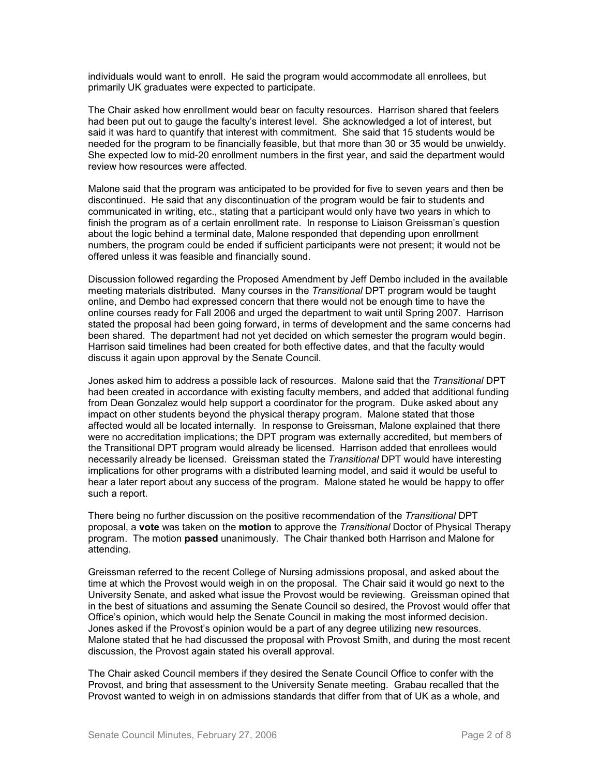individuals would want to enroll. He said the program would accommodate all enrollees, but primarily UK graduates were expected to participate.

The Chair asked how enrollment would bear on faculty resources. Harrison shared that feelers had been put out to gauge the faculty's interest level. She acknowledged a lot of interest, but said it was hard to quantify that interest with commitment. She said that 15 students would be needed for the program to be financially feasible, but that more than 30 or 35 would be unwieldy. She expected low to mid-20 enrollment numbers in the first year, and said the department would review how resources were affected.

Malone said that the program was anticipated to be provided for five to seven years and then be discontinued. He said that any discontinuation of the program would be fair to students and communicated in writing, etc., stating that a participant would only have two years in which to finish the program as of a certain enrollment rate. In response to Liaison Greissman's question about the logic behind a terminal date, Malone responded that depending upon enrollment numbers, the program could be ended if sufficient participants were not present; it would not be offered unless it was feasible and financially sound.

Discussion followed regarding the Proposed Amendment by Jeff Dembo included in the available meeting materials distributed. Many courses in the *Transitional* DPT program would be taught online, and Dembo had expressed concern that there would not be enough time to have the online courses ready for Fall 2006 and urged the department to wait until Spring 2007. Harrison stated the proposal had been going forward, in terms of development and the same concerns had been shared. The department had not yet decided on which semester the program would begin. Harrison said timelines had been created for both effective dates, and that the faculty would discuss it again upon approval by the Senate Council.

Jones asked him to address a possible lack of resources. Malone said that the *Transitional* DPT had been created in accordance with existing faculty members, and added that additional funding from Dean Gonzalez would help support a coordinator for the program. Duke asked about any impact on other students beyond the physical therapy program. Malone stated that those affected would all be located internally. In response to Greissman, Malone explained that there were no accreditation implications; the DPT program was externally accredited, but members of the Transitional DPT program would already be licensed. Harrison added that enrollees would necessarily already be licensed. Greissman stated the *Transitional* DPT would have interesting implications for other programs with a distributed learning model, and said it would be useful to hear a later report about any success of the program. Malone stated he would be happy to offer such a report.

There being no further discussion on the positive recommendation of the *Transitional* DPT proposal, a **vote** was taken on the **motion** to approve the *Transitional* Doctor of Physical Therapy program. The motion **passed** unanimously. The Chair thanked both Harrison and Malone for attending.

Greissman referred to the recent College of Nursing admissions proposal, and asked about the time at which the Provost would weigh in on the proposal. The Chair said it would go next to the University Senate, and asked what issue the Provost would be reviewing. Greissman opined that in the best of situations and assuming the Senate Council so desired, the Provost would offer that Office's opinion, which would help the Senate Council in making the most informed decision. Jones asked if the Provost's opinion would be a part of any degree utilizing new resources. Malone stated that he had discussed the proposal with Provost Smith, and during the most recent discussion, the Provost again stated his overall approval.

The Chair asked Council members if they desired the Senate Council Office to confer with the Provost, and bring that assessment to the University Senate meeting. Grabau recalled that the Provost wanted to weigh in on admissions standards that differ from that of UK as a whole, and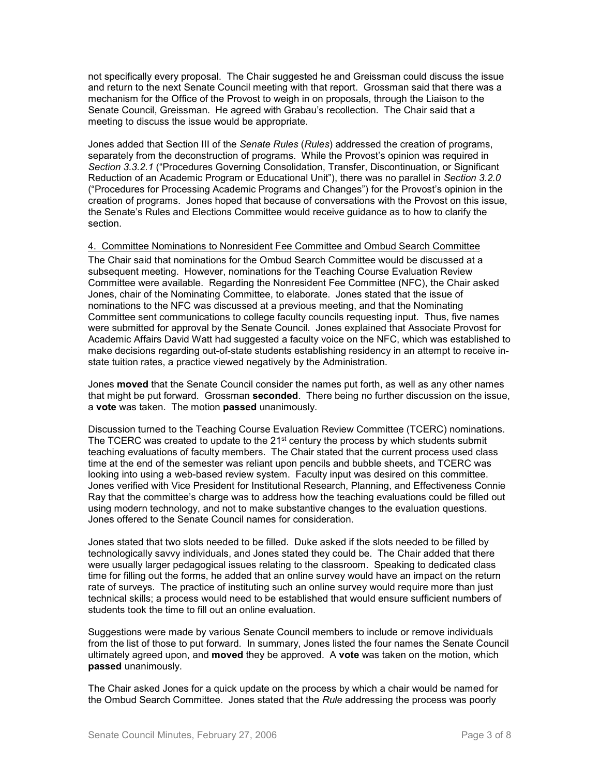not specifically every proposal. The Chair suggested he and Greissman could discuss the issue and return to the next Senate Council meeting with that report. Grossman said that there was a mechanism for the Office of the Provost to weigh in on proposals, through the Liaison to the Senate Council, Greissman. He agreed with Grabau's recollection. The Chair said that a meeting to discuss the issue would be appropriate.

Jones added that Section III of the *Senate Rules* (*Rules*) addressed the creation of programs, separately from the deconstruction of programs. While the Provost's opinion was required in *Section 3.3.2.1* ("Procedures Governing Consolidation, Transfer, Discontinuation, or Significant Reduction of an Academic Program or Educational Unit"), there was no parallel in *Section 3.2.0* ("Procedures for Processing Academic Programs and Changes") for the Provost's opinion in the creation of programs. Jones hoped that because of conversations with the Provost on this issue, the Senate's Rules and Elections Committee would receive guidance as to how to clarify the section.

## 4. Committee Nominations to Nonresident Fee Committee and Ombud Search Committee

The Chair said that nominations for the Ombud Search Committee would be discussed at a subsequent meeting. However, nominations for the Teaching Course Evaluation Review Committee were available. Regarding the Nonresident Fee Committee (NFC), the Chair asked Jones, chair of the Nominating Committee, to elaborate. Jones stated that the issue of nominations to the NFC was discussed at a previous meeting, and that the Nominating Committee sent communications to college faculty councils requesting input. Thus, five names were submitted for approval by the Senate Council. Jones explained that Associate Provost for Academic Affairs David Watt had suggested a faculty voice on the NFC, which was established to make decisions regarding out-of-state students establishing residency in an attempt to receive instate tuition rates, a practice viewed negatively by the Administration.

Jones **moved** that the Senate Council consider the names put forth, as well as any other names that might be put forward. Grossman **seconded**. There being no further discussion on the issue, a **vote** was taken. The motion **passed** unanimously.

Discussion turned to the Teaching Course Evaluation Review Committee (TCERC) nominations. The TCERC was created to update to the  $21<sup>st</sup>$  century the process by which students submit teaching evaluations of faculty members. The Chair stated that the current process used class time at the end of the semester was reliant upon pencils and bubble sheets, and TCERC was looking into using a web-based review system. Faculty input was desired on this committee. Jones verified with Vice President for Institutional Research, Planning, and Effectiveness Connie Ray that the committee's charge was to address how the teaching evaluations could be filled out using modern technology, and not to make substantive changes to the evaluation questions. Jones offered to the Senate Council names for consideration.

Jones stated that two slots needed to be filled. Duke asked if the slots needed to be filled by technologically savvy individuals, and Jones stated they could be. The Chair added that there were usually larger pedagogical issues relating to the classroom. Speaking to dedicated class time for filling out the forms, he added that an online survey would have an impact on the return rate of surveys. The practice of instituting such an online survey would require more than just technical skills; a process would need to be established that would ensure sufficient numbers of students took the time to fill out an online evaluation.

Suggestions were made by various Senate Council members to include or remove individuals from the list of those to put forward. In summary, Jones listed the four names the Senate Council ultimately agreed upon, and **moved** they be approved. A **vote** was taken on the motion, which **passed** unanimously.

The Chair asked Jones for a quick update on the process by which a chair would be named for the Ombud Search Committee. Jones stated that the *Rule* addressing the process was poorly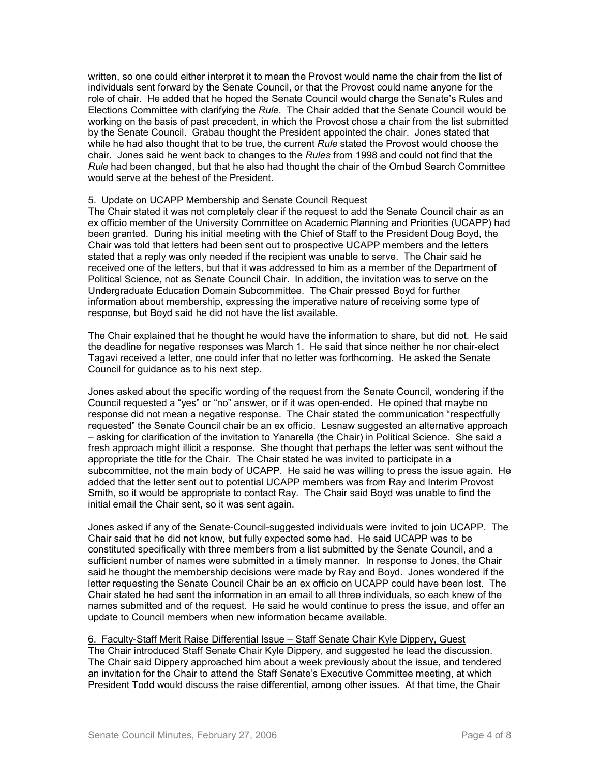written, so one could either interpret it to mean the Provost would name the chair from the list of individuals sent forward by the Senate Council, or that the Provost could name anyone for the role of chair. He added that he hoped the Senate Council would charge the Senate's Rules and Elections Committee with clarifying the *Rule*. The Chair added that the Senate Council would be working on the basis of past precedent, in which the Provost chose a chair from the list submitted by the Senate Council. Grabau thought the President appointed the chair. Jones stated that while he had also thought that to be true, the current *Rule* stated the Provost would choose the chair. Jones said he went back to changes to the *Rules* from 1998 and could not find that the *Rule* had been changed, but that he also had thought the chair of the Ombud Search Committee would serve at the behest of the President.

### 5. Update on UCAPP Membership and Senate Council Request

The Chair stated it was not completely clear if the request to add the Senate Council chair as an ex officio member of the University Committee on Academic Planning and Priorities (UCAPP) had been granted. During his initial meeting with the Chief of Staff to the President Doug Boyd, the Chair was told that letters had been sent out to prospective UCAPP members and the letters stated that a reply was only needed if the recipient was unable to serve. The Chair said he received one of the letters, but that it was addressed to him as a member of the Department of Political Science, not as Senate Council Chair. In addition, the invitation was to serve on the Undergraduate Education Domain Subcommittee. The Chair pressed Boyd for further information about membership, expressing the imperative nature of receiving some type of response, but Boyd said he did not have the list available.

The Chair explained that he thought he would have the information to share, but did not. He said the deadline for negative responses was March 1. He said that since neither he nor chair-elect Tagavi received a letter, one could infer that no letter was forthcoming. He asked the Senate Council for guidance as to his next step.

Jones asked about the specific wording of the request from the Senate Council, wondering if the Council requested a "yes" or "no" answer, or if it was open-ended. He opined that maybe no response did not mean a negative response. The Chair stated the communication "respectfully requested" the Senate Council chair be an ex officio. Lesnaw suggested an alternative approach – asking for clarification of the invitation to Yanarella (the Chair) in Political Science. She said a fresh approach might illicit a response. She thought that perhaps the letter was sent without the appropriate the title for the Chair. The Chair stated he was invited to participate in a subcommittee, not the main body of UCAPP. He said he was willing to press the issue again. He added that the letter sent out to potential UCAPP members was from Ray and Interim Provost Smith, so it would be appropriate to contact Ray. The Chair said Boyd was unable to find the initial email the Chair sent, so it was sent again.

Jones asked if any of the Senate-Council-suggested individuals were invited to join UCAPP. The Chair said that he did not know, but fully expected some had. He said UCAPP was to be constituted specifically with three members from a list submitted by the Senate Council, and a sufficient number of names were submitted in a timely manner. In response to Jones, the Chair said he thought the membership decisions were made by Ray and Boyd. Jones wondered if the letter requesting the Senate Council Chair be an ex officio on UCAPP could have been lost. The Chair stated he had sent the information in an email to all three individuals, so each knew of the names submitted and of the request. He said he would continue to press the issue, and offer an update to Council members when new information became available.

#### 6. Faculty-Staff Merit Raise Differential Issue – Staff Senate Chair Kyle Dippery, Guest

The Chair introduced Staff Senate Chair Kyle Dippery, and suggested he lead the discussion. The Chair said Dippery approached him about a week previously about the issue, and tendered an invitation for the Chair to attend the Staff Senate's Executive Committee meeting, at which President Todd would discuss the raise differential, among other issues. At that time, the Chair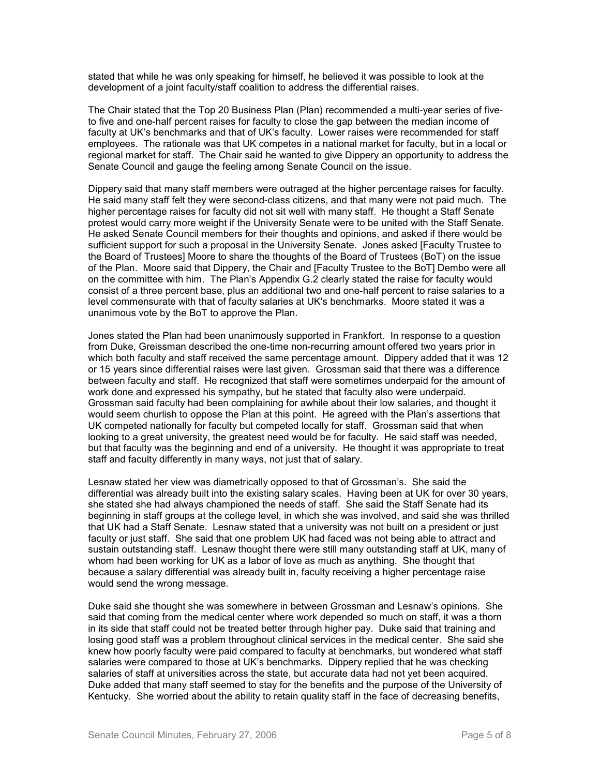stated that while he was only speaking for himself, he believed it was possible to look at the development of a joint faculty/staff coalition to address the differential raises.

The Chair stated that the Top 20 Business Plan (Plan) recommended a multi-year series of fiveto five and one-half percent raises for faculty to close the gap between the median income of faculty at UK's benchmarks and that of UK's faculty. Lower raises were recommended for staff employees. The rationale was that UK competes in a national market for faculty, but in a local or regional market for staff. The Chair said he wanted to give Dippery an opportunity to address the Senate Council and gauge the feeling among Senate Council on the issue.

Dippery said that many staff members were outraged at the higher percentage raises for faculty. He said many staff felt they were second-class citizens, and that many were not paid much. The higher percentage raises for faculty did not sit well with many staff. He thought a Staff Senate protest would carry more weight if the University Senate were to be united with the Staff Senate. He asked Senate Council members for their thoughts and opinions, and asked if there would be sufficient support for such a proposal in the University Senate. Jones asked [Faculty Trustee to the Board of Trustees] Moore to share the thoughts of the Board of Trustees (BoT) on the issue of the Plan. Moore said that Dippery, the Chair and [Faculty Trustee to the BoT] Dembo were all on the committee with him. The Plan's Appendix G.2 clearly stated the raise for faculty would consist of a three percent base, plus an additional two and one-half percent to raise salaries to a level commensurate with that of faculty salaries at UK's benchmarks. Moore stated it was a unanimous vote by the BoT to approve the Plan.

Jones stated the Plan had been unanimously supported in Frankfort. In response to a question from Duke, Greissman described the one-time non-recurring amount offered two years prior in which both faculty and staff received the same percentage amount. Dippery added that it was 12 or 15 years since differential raises were last given. Grossman said that there was a difference between faculty and staff. He recognized that staff were sometimes underpaid for the amount of work done and expressed his sympathy, but he stated that faculty also were underpaid. Grossman said faculty had been complaining for awhile about their low salaries, and thought it would seem churlish to oppose the Plan at this point. He agreed with the Plan's assertions that UK competed nationally for faculty but competed locally for staff. Grossman said that when looking to a great university, the greatest need would be for faculty. He said staff was needed, but that faculty was the beginning and end of a university. He thought it was appropriate to treat staff and faculty differently in many ways, not just that of salary.

Lesnaw stated her view was diametrically opposed to that of Grossman's. She said the differential was already built into the existing salary scales. Having been at UK for over 30 years, she stated she had always championed the needs of staff. She said the Staff Senate had its beginning in staff groups at the college level, in which she was involved, and said she was thrilled that UK had a Staff Senate. Lesnaw stated that a university was not built on a president or just faculty or just staff. She said that one problem UK had faced was not being able to attract and sustain outstanding staff. Lesnaw thought there were still many outstanding staff at UK, many of whom had been working for UK as a labor of love as much as anything. She thought that because a salary differential was already built in, faculty receiving a higher percentage raise would send the wrong message.

Duke said she thought she was somewhere in between Grossman and Lesnaw's opinions. She said that coming from the medical center where work depended so much on staff, it was a thorn in its side that staff could not be treated better through higher pay. Duke said that training and losing good staff was a problem throughout clinical services in the medical center. She said she knew how poorly faculty were paid compared to faculty at benchmarks, but wondered what staff salaries were compared to those at UK's benchmarks. Dippery replied that he was checking salaries of staff at universities across the state, but accurate data had not yet been acquired. Duke added that many staff seemed to stay for the benefits and the purpose of the University of Kentucky. She worried about the ability to retain quality staff in the face of decreasing benefits,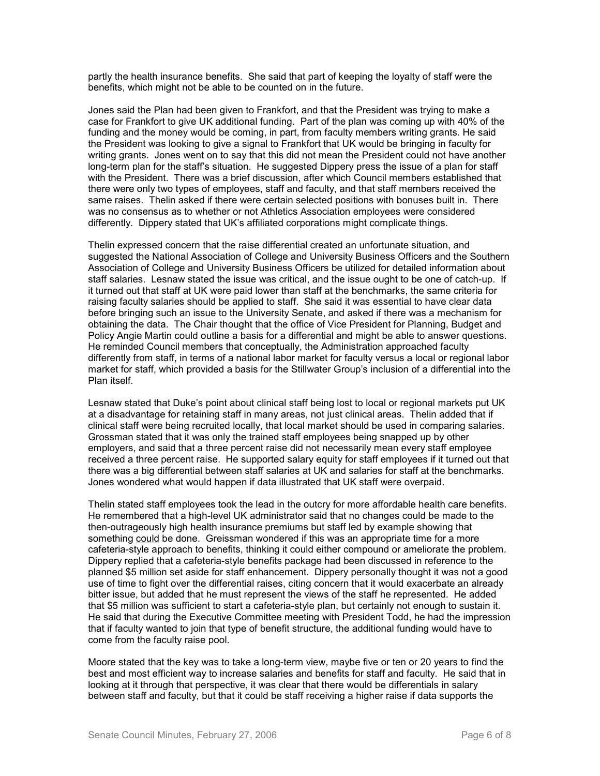partly the health insurance benefits. She said that part of keeping the loyalty of staff were the benefits, which might not be able to be counted on in the future.

Jones said the Plan had been given to Frankfort, and that the President was trying to make a case for Frankfort to give UK additional funding. Part of the plan was coming up with 40% of the funding and the money would be coming, in part, from faculty members writing grants. He said the President was looking to give a signal to Frankfort that UK would be bringing in faculty for writing grants. Jones went on to say that this did not mean the President could not have another long-term plan for the staff's situation. He suggested Dippery press the issue of a plan for staff with the President. There was a brief discussion, after which Council members established that there were only two types of employees, staff and faculty, and that staff members received the same raises. Thelin asked if there were certain selected positions with bonuses built in. There was no consensus as to whether or not Athletics Association employees were considered differently. Dippery stated that UK's affiliated corporations might complicate things.

Thelin expressed concern that the raise differential created an unfortunate situation, and suggested the National Association of College and University Business Officers and the Southern Association of College and University Business Officers be utilized for detailed information about staff salaries. Lesnaw stated the issue was critical, and the issue ought to be one of catch-up. If it turned out that staff at UK were paid lower than staff at the benchmarks, the same criteria for raising faculty salaries should be applied to staff. She said it was essential to have clear data before bringing such an issue to the University Senate, and asked if there was a mechanism for obtaining the data. The Chair thought that the office of Vice President for Planning, Budget and Policy Angie Martin could outline a basis for a differential and might be able to answer questions. He reminded Council members that conceptually, the Administration approached faculty differently from staff, in terms of a national labor market for faculty versus a local or regional labor market for staff, which provided a basis for the Stillwater Group's inclusion of a differential into the Plan itself.

Lesnaw stated that Duke's point about clinical staff being lost to local or regional markets put UK at a disadvantage for retaining staff in many areas, not just clinical areas. Thelin added that if clinical staff were being recruited locally, that local market should be used in comparing salaries. Grossman stated that it was only the trained staff employees being snapped up by other employers, and said that a three percent raise did not necessarily mean every staff employee received a three percent raise. He supported salary equity for staff employees if it turned out that there was a big differential between staff salaries at UK and salaries for staff at the benchmarks. Jones wondered what would happen if data illustrated that UK staff were overpaid.

Thelin stated staff employees took the lead in the outcry for more affordable health care benefits. He remembered that a high-level UK administrator said that no changes could be made to the then-outrageously high health insurance premiums but staff led by example showing that something could be done. Greissman wondered if this was an appropriate time for a more cafeteria-style approach to benefits, thinking it could either compound or ameliorate the problem. Dippery replied that a cafeteria-style benefits package had been discussed in reference to the planned \$5 million set aside for staff enhancement. Dippery personally thought it was not a good use of time to fight over the differential raises, citing concern that it would exacerbate an already bitter issue, but added that he must represent the views of the staff he represented. He added that \$5 million was sufficient to start a cafeteria-style plan, but certainly not enough to sustain it. He said that during the Executive Committee meeting with President Todd, he had the impression that if faculty wanted to join that type of benefit structure, the additional funding would have to come from the faculty raise pool.

Moore stated that the key was to take a long-term view, maybe five or ten or 20 years to find the best and most efficient way to increase salaries and benefits for staff and faculty. He said that in looking at it through that perspective, it was clear that there would be differentials in salary between staff and faculty, but that it could be staff receiving a higher raise if data supports the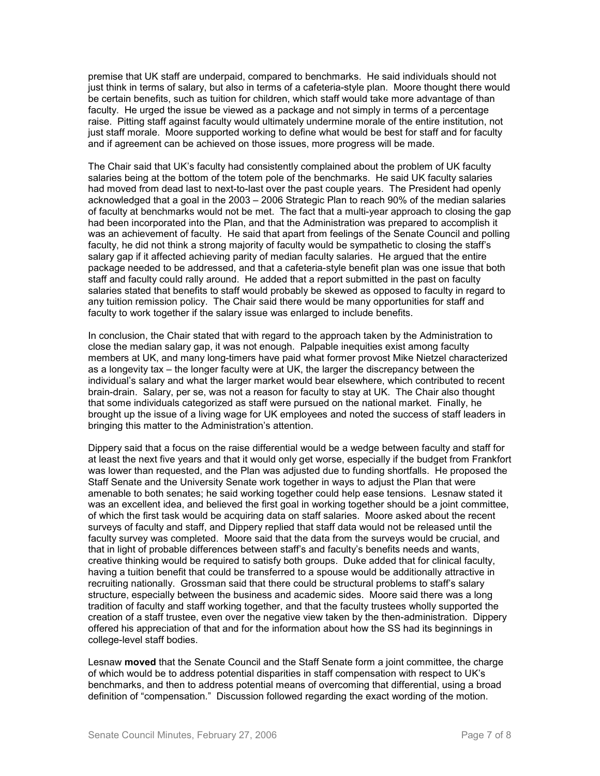premise that UK staff are underpaid, compared to benchmarks. He said individuals should not just think in terms of salary, but also in terms of a cafeteria-style plan. Moore thought there would be certain benefits, such as tuition for children, which staff would take more advantage of than faculty. He urged the issue be viewed as a package and not simply in terms of a percentage raise. Pitting staff against faculty would ultimately undermine morale of the entire institution, not just staff morale. Moore supported working to define what would be best for staff and for faculty and if agreement can be achieved on those issues, more progress will be made.

The Chair said that UK's faculty had consistently complained about the problem of UK faculty salaries being at the bottom of the totem pole of the benchmarks. He said UK faculty salaries had moved from dead last to next-to-last over the past couple years. The President had openly acknowledged that a goal in the 2003 – 2006 Strategic Plan to reach 90% of the median salaries of faculty at benchmarks would not be met. The fact that a multi-year approach to closing the gap had been incorporated into the Plan, and that the Administration was prepared to accomplish it was an achievement of faculty. He said that apart from feelings of the Senate Council and polling faculty, he did not think a strong majority of faculty would be sympathetic to closing the staff's salary gap if it affected achieving parity of median faculty salaries. He argued that the entire package needed to be addressed, and that a cafeteria-style benefit plan was one issue that both staff and faculty could rally around. He added that a report submitted in the past on faculty salaries stated that benefits to staff would probably be skewed as opposed to faculty in regard to any tuition remission policy. The Chair said there would be many opportunities for staff and faculty to work together if the salary issue was enlarged to include benefits.

In conclusion, the Chair stated that with regard to the approach taken by the Administration to close the median salary gap, it was not enough. Palpable inequities exist among faculty members at UK, and many long-timers have paid what former provost Mike Nietzel characterized as a longevity tax – the longer faculty were at UK, the larger the discrepancy between the individual's salary and what the larger market would bear elsewhere, which contributed to recent brain-drain. Salary, per se, was not a reason for faculty to stay at UK. The Chair also thought that some individuals categorized as staff were pursued on the national market. Finally, he brought up the issue of a living wage for UK employees and noted the success of staff leaders in bringing this matter to the Administration's attention.

Dippery said that a focus on the raise differential would be a wedge between faculty and staff for at least the next five years and that it would only get worse, especially if the budget from Frankfort was lower than requested, and the Plan was adjusted due to funding shortfalls. He proposed the Staff Senate and the University Senate work together in ways to adjust the Plan that were amenable to both senates; he said working together could help ease tensions. Lesnaw stated it was an excellent idea, and believed the first goal in working together should be a joint committee, of which the first task would be acquiring data on staff salaries. Moore asked about the recent surveys of faculty and staff, and Dippery replied that staff data would not be released until the faculty survey was completed. Moore said that the data from the surveys would be crucial, and that in light of probable differences between staff's and faculty's benefits needs and wants, creative thinking would be required to satisfy both groups. Duke added that for clinical faculty, having a tuition benefit that could be transferred to a spouse would be additionally attractive in recruiting nationally. Grossman said that there could be structural problems to staff's salary structure, especially between the business and academic sides. Moore said there was a long tradition of faculty and staff working together, and that the faculty trustees wholly supported the creation of a staff trustee, even over the negative view taken by the then-administration. Dippery offered his appreciation of that and for the information about how the SS had its beginnings in college-level staff bodies.

Lesnaw **moved** that the Senate Council and the Staff Senate form a joint committee, the charge of which would be to address potential disparities in staff compensation with respect to UK's benchmarks, and then to address potential means of overcoming that differential, using a broad definition of "compensation." Discussion followed regarding the exact wording of the motion.